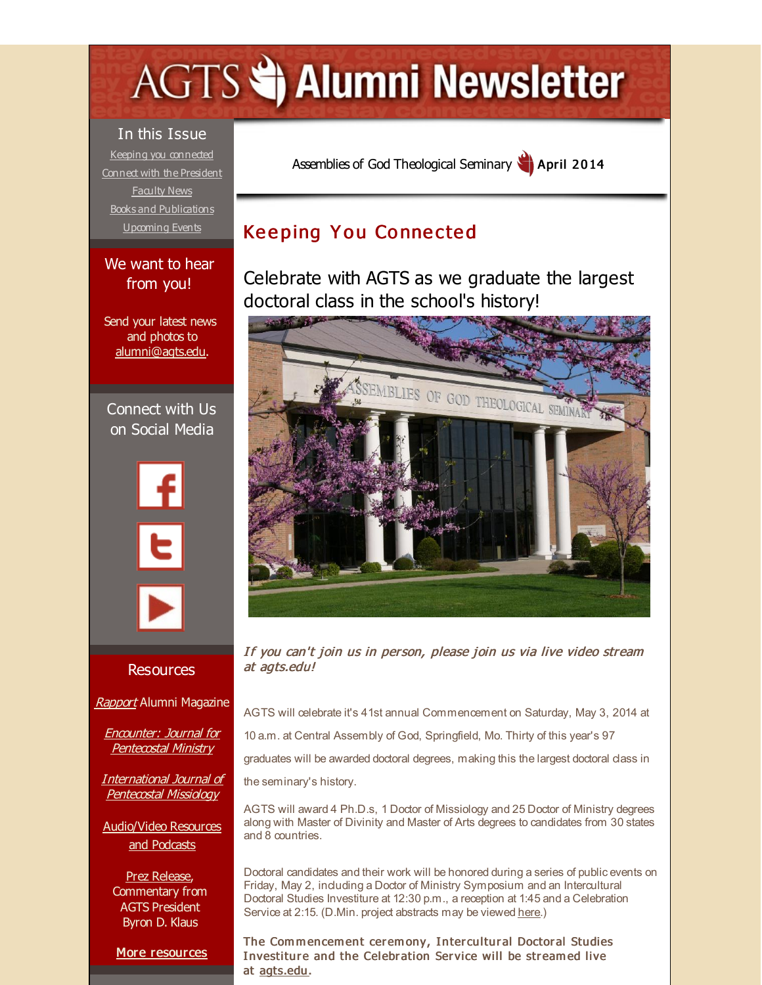# <span id="page-0-0"></span>**AGTS Statement Newsletter**

In this Issue Keeping you [connected](#page-0-0) Connect with the [President](#page-0-0) [Faculty](#page-0-0) News Books and [Publications](#page-0-0) [Upcoming](#page-0-0) Events

## We want to hear from you!

Send your latest news and photos to [alumni@agts.edu](mailto:alumni@agts.edu).

Connect with Us on Social Media





#### **Resources**

**[Rapport](http://r20.rs6.net/tn.jsp?f=001-bg0MDSIclE6doDGLGc8-K8tWJXjKI6dPVU_hbrs1XCH2WTAyb2HWajjrQ0cQzem0iLsStChyI7dpFm0rTIXJuvj9ru2Mac27lOkc3PQymgWE41TpdVNFRRnspbbaDdxNISRZdO3sZ0SCbm1MlwfTMM2MOCCvXc1pPjdDRg-LoHbVxDCVuZfMLNwlFs9FsGJ&c=&ch=)** Alumni Magazine

Encounter: Journal for [Pentecostal](http://r20.rs6.net/tn.jsp?f=001-bg0MDSIclE6doDGLGc8-K8tWJXjKI6dPVU_hbrs1XCH2WTAyb2HWQUXt-Px0FD170y9VY2zCfr5siN7dGd-cRgFRVu6fIl9D-0Bt1CVt1qzvmiobhISFkrNE5VUsIj2JCBqx-KEFsPy84vQSvevIBKj6tz7pEyszPlVlspvHLF8CrLYcOqiBqrScxIBKJ1g&c=&ch=) Ministry

**[International](http://r20.rs6.net/tn.jsp?f=001-bg0MDSIclE6doDGLGc8-K8tWJXjKI6dPVU_hbrs1XCH2WTAyb2HWdMwpAmYgI8jNOnUENSnOj51t9wEwtAkAqPwS_u0109HGJ_dT44jrezZURyeKqkGN7jkkgwRinfRP16425g8Oy_cOv5R8K1UD9e7AWrUcVSyVHOUB8Xp9ewvbODLVazy5vVlS2ZMn3hM&c=&ch=) Journal of** Pentecostal Missiology

[Audio/Video](http://r20.rs6.net/tn.jsp?f=001-bg0MDSIclE6doDGLGc8-K8tWJXjKI6dPVU_hbrs1XCH2WTAyb2HWdNPJzI83HEmsb1cho70wxN1-iEgrFy4VRCRU3n4q4mBuvgegbvhVSeg9rXhRRHQ6tm2we1GB358r6LJYyVvLIp-xYwOCDfwgo2l48RXuZmPUmPhtsoWcR5z2ltE5UB7rtRzWzjdeZY2&c=&ch=) Resources and Podcasts

Prez [Release](http://r20.rs6.net/tn.jsp?f=001-bg0MDSIclE6doDGLGc8-K8tWJXjKI6dPVU_hbrs1XCH2WTAyb2HWSTU3MM1s5qjfj8aXjmgbO2oCfTJyxOhCnvtb79u6lY9KNnO7OKmagU_OVbhEm24FR9bxR82EHLc4gW0lcgfMXmEgeeHbCFSbKJulEoqTDToPprAcbZWlYdeLutBl3zgx70qfZmDGOKbL8CTIfDGNgo=&c=&ch=), Commentary from AGTS President Byron D. Klaus

More [resources](http://r20.rs6.net/tn.jsp?f=001-bg0MDSIclE6doDGLGc8-K8tWJXjKI6dPVU_hbrs1XCH2WTAyb2HWeYON8-4QJSbIpLtTdns9_v0Di4XqM-lrFLxwIzCf3QnFwxKrAt7JwSvlGICngIO6k6DBuY4fCL2fPZIMVH1j3KRMOQConrA0yD3q_yL2AiAneNcxOG3hNMaaXPbGhwTv-CD9y64aF-ughX3NpiE0IA=&c=&ch=)

Assemblies of God [Theological](http://r20.rs6.net/tn.jsp?f=001-bg0MDSIclE6doDGLGc8-K8tWJXjKI6dPVU_hbrs1XCH2WTAyb2HWRAl2c18pe93h3HTU-rnRPV-rJBx0qIQ5wk7O4ff_xj2Id2dZvxwOg1wuG4mt8ZtMHdD0L9WQtIz7YKxW9Ub-UaU_xvOZxaDgibxdEYSkrIi&c=&ch=) Seminary **April 2014** 

# **Keeping You Connected**

Celebrate with AGTS as we graduate the largest doctoral class in the school's history!



If you can't join us in person, please join us via live video stream at agts.edu!

AGTS will celebrate it's 41st annual Commencement on Saturday, May 3, 2014 at

10 a.m. at Central Assembly of God, Springfield, Mo. Thirty of this year's 97

graduates will be awarded doctoral degrees, making this the largest doctoral class in

the seminary's history.

AGTS will award 4 Ph.D.s, 1 Doctor of Missiology and 25 Doctor of Ministry degrees along with Master of Divinity and Master of Arts degrees to candidates from 30 states and 8 countries.

Doctoral candidates and their work will be honored during a series of public events on Friday, May 2, induding a Doctor of Ministry Symposium and an Intercultural Doctoral Studies Investiture at 12:30 p.m., a reception at 1:45 and a Celebration Service at 2:15. (D.Min. project abstracts may be viewed [here](http://r20.rs6.net/tn.jsp?f=001-bg0MDSIclE6doDGLGc8-K8tWJXjKI6dPVU_hbrs1XCH2WTAyb2HWVpbmDog-bCp-HNKEUvoy-rsmChNUIf5ibx2aBrNd0we6PqOBTJL3GXeMWjgheGr_2is1IiU5eCvMrgFRgFukbA9zsfFttOPgjpuhLDHiZVIm5cz99Udprpa2ypEBB9U_wZGBuNXDQBz6CkQIFTAubJq6hOh0wmRTQZlmJyFYoxh&c=&ch=).)

The Commencement ceremony, Intercultural Doctoral Studies Investiture and the Celebration Service will be streamed live at [agts.edu](http://r20.rs6.net/tn.jsp?f=001-bg0MDSIclE6doDGLGc8-K8tWJXjKI6dPVU_hbrs1XCH2WTAyb2HWRAl2c18pe93h3HTU-rnRPV-rJBx0qIQ5wk7O4ff_xj2Id2dZvxwOg1wuG4mt8ZtMHdD0L9WQtIz7YKxW9Ub-UaU_xvOZxaDgibxdEYSkrIi&c=&ch=) .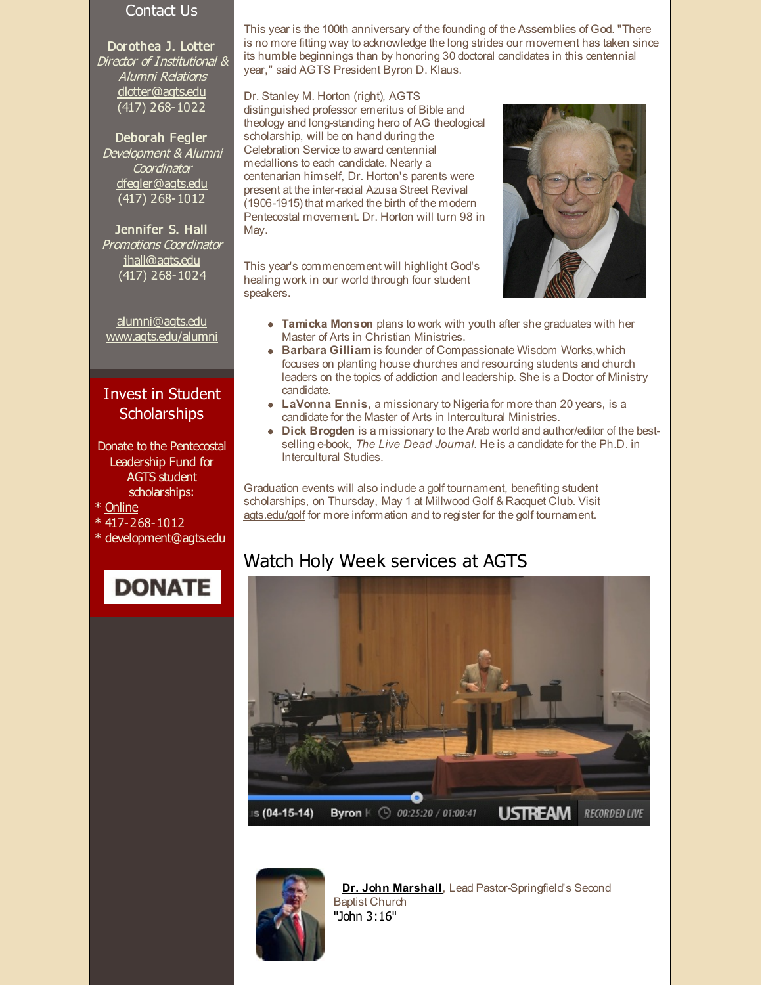#### Contact Us

Dorothea J. Lotter Director of Institutional & Alumni Relations [dlotter@agts.edu](mailto:dlotter@agts.edu) (417) 268-1022

Deborah Fegler Development & Alumni **Coordinator** [dfegler@agts.edu](mailto:dfegler@agts.edu) (417) 268-1012

Jennifer S. Hall Promotions Coordinator [jhall@agts.edu](mailto:jhall@agts.edu)  $\overline{(417)}$  268-1024

[alumni@agts.edu](mailto:alumni@agts.edu) [www.agts.edu/alumni](http://r20.rs6.net/tn.jsp?f=001-bg0MDSIclE6doDGLGc8-K8tWJXjKI6dPVU_hbrs1XCH2WTAyb2HWUfgOr28_jkFhT31aVv_QJqF4zqNQcuvOiSxh_HAzO9gR-j5kiaxpSrCYl9YqyIyttWgayTYV0tEeZ69tYOH3PHHGgdqyyJUlMxfIGnSQG3YmyZ15-IpjY5Z9X_bVuezHw==&c=&ch=)

## Invest in Student **Scholarships**

Donate to the Pentecostal Leadership Fund for AGTS student scholarships:

- \* [Online](http://r20.rs6.net/tn.jsp?f=001-bg0MDSIclE6doDGLGc8-K8tWJXjKI6dPVU_hbrs1XCH2WTAyb2HWV6sz57-GSS_ozQpfXoj0u74yPC2mzs8zsp4ma1Yjf63NWbmgG4_HvPXq0I92g4zzQxBc34YL1hnwbk4imTtiSZEdlon2PoG3pHO6u0Ex_-vJ8GlZBoTyHj_TEL9gNVx_D7GNOU7jLajUwkI4aMUzM9WAhAdsgatog==&c=&ch=)
- \* 417-268-1012
- [development@agts.edu](mailto:development@agts.edu)

**DONATE** 

is no more fitting way to acknowledge the long strides our movement has taken since its humble beginnings than by honoring 30 doctoral candidates in this centennial year," said AGTS President Byron D. Klaus.

This year is the 100th anniversary of the founding of the Assemblies of God. "There

Dr. Stanley M. Horton (right), AGTS distinguished professor emeritus of Bible and theology and long-standing hero of AG theological scholarship, will be on hand during the Celebration Service to award centennial medallions to each candidate. Nearly a centenarian himself, Dr. Horton's parents were present at the inter-racial Azusa Street Revival (1906-1915) that marked the birth of the modern Pentecostal movement. Dr. Horton will turn 98 in May.

This year's commencement will highlight God's healing work in our world through four student speakers.



- **Tamicka Monson** plans to work with youth after she graduates with her Master of Arts in Christian Ministries.
- **Barbara Gilliam** is founder of Compassionate Wisdom Works,which focuses on planting house churches and resourcing students and church leaders on the topics of addiction and leadership. She is a Doctor of Ministry candidate.
- **LaVonna Ennis**, a missionary to Nigeria for more than 20 years, is a candidate for the Master of Arts in Intercultural Ministries.
- **Dick Brogden** is a missionary to the Arab world and author/editor of the bestselling e-book, *The Live Dead Journal.* He is a candidate for the Ph.D. in Intercultural Studies.

Graduation events will also include a golf tournament, benefiting student scholarships, on Thursday, May 1 at Millwood Golf & Racquet Club. Visit [agts.edu/golf](http://r20.rs6.net/tn.jsp?f=001-bg0MDSIclE6doDGLGc8-K8tWJXjKI6dPVU_hbrs1XCH2WTAyb2HWa9L9JdHlcTCIpYm4qpZ6LRl4LeO1ONtxzSkPYgNAslh1QVLa_P1dfdx4exQDfD_51NkOcddZiMd32FQdsOfom6Sxht0yKlglqI6KKzEik_pxMNMCZPORLs=&c=&ch=) for more information and to register for the golf tournament.

## Watch Holy Week services at AGTS





**Dr. John [Marshall](http://r20.rs6.net/tn.jsp?f=001-bg0MDSIclE6doDGLGc8-K8tWJXjKI6dPVU_hbrs1XCH2WTAyb2HWVpbmDog-bCp5PelfyOGxUyHLCJkT-imlwNkRHw1Vv0i8A-pLXw-DnW7e7N5eUm8xPY70ZzEyshBKkkGSV3zfr4nc9KdvWRxmfohdUwlmCIZv3cmuM3h5zIPVx9rBSNXweAx0pnnHDQL&c=&ch=)**, Lead Pastor-Springfield's Second Baptist Church "John 3:16"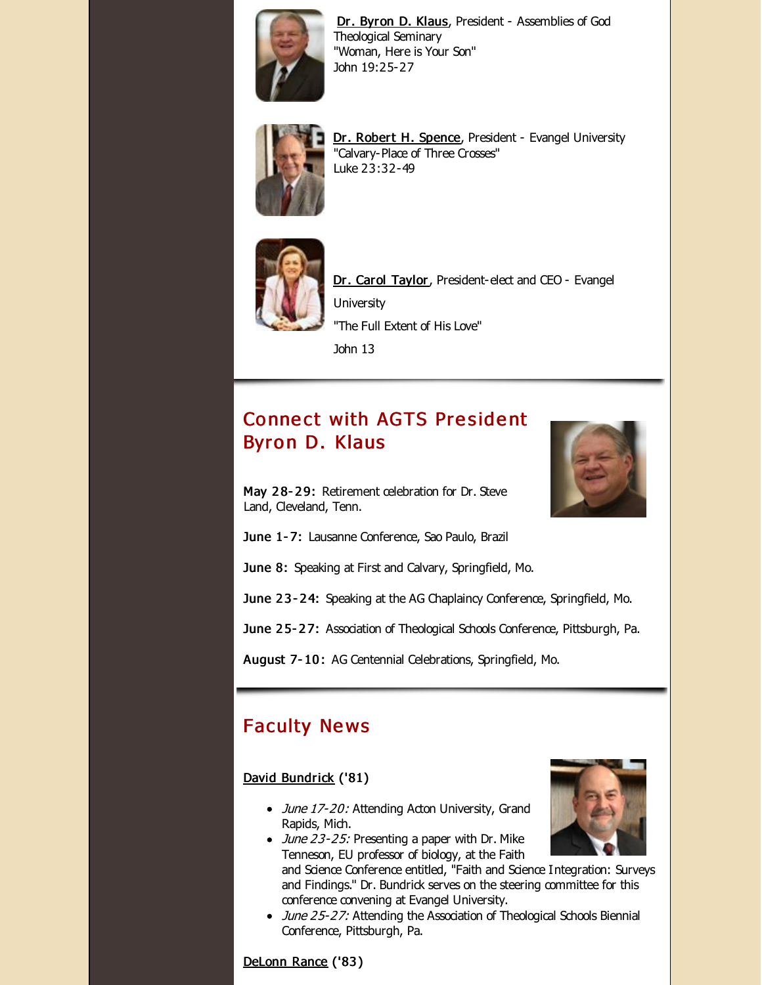

Dr. [Byron](http://r20.rs6.net/tn.jsp?f=001-bg0MDSIclE6doDGLGc8-K8tWJXjKI6dPVU_hbrs1XCH2WTAyb2HWVpbmDog-bCpz5Nn_05jt8zbbmhINlWUq0QNPdXHZKoV9V8yy2sB-aumGXgeSOqDA9CUKOg9jX_55KqGWRov2ofmY-fu689-RxUVm2AV5TMjN9G3do-ACnGh7N313ZnEf9I0iYIgMWoo&c=&ch=) D. Klaus, President - Assemblies of God Theological Seminary "Woman, Here is Your Son" John 19:25-27



Dr. Robert H. [Spence](http://r20.rs6.net/tn.jsp?f=001-bg0MDSIclE6doDGLGc8-K8tWJXjKI6dPVU_hbrs1XCH2WTAyb2HWVpbmDog-bCpnZV-cOlgY1n0F-h2Hl4nCCbsR07x3n6cuetRgZfUWqsuP9hvPeH0lsUdOK2egUHa3lNMvUJRMYZnFHdw2RGc7enNG0NiZNwJiwEcYzKJu6pzEtbRVTOWV1igzOakErKy&c=&ch=), President - Evangel University "Calvary-Place of Three Crosses" Luke 23:32-49



Dr. Carol [Taylor,](http://r20.rs6.net/tn.jsp?f=001-bg0MDSIclE6doDGLGc8-K8tWJXjKI6dPVU_hbrs1XCH2WTAyb2HWVpbmDog-bCp8spfQYvCdX9NUx3hNkPEObnaT1QhoSw7VpJ_tilNTc5Kn_uVNrHgFS9RLEcIqKhP-P0k8RFc6fbvL7ZQGihD58SawQwC1ytMMRiAvOENzSxsBN-kw7Zvpch1EhzcjY3v&c=&ch=) President-elect and CEO - Evangel **University** "The Full Extent of His Love"

John 13

# **Connect with AGTS President** Byron D. Klaus

May 28-29: Retirement celebration for Dr. Steve Land, Cleveland, Tenn.



June 1-7: Lausanne Conference, Sao Paulo, Brazil

June 8: Speaking at First and Calvary, Springfield, Mo.

June 23-24: Speaking at the AG Chaplaincy Conference, Springfield, Mo.

June 25-27: Association of Theological Schools Conference, Pittsburgh, Pa.

August 7- 10 : AG Centennial Celebrations, Springfield, Mo.

## **Faculty News**

#### David [Bundrick](http://r20.rs6.net/tn.jsp?f=001-bg0MDSIclE6doDGLGc8-K8tWJXjKI6dPVU_hbrs1XCH2WTAyb2HWTny5b-ofc9m23d8X5VsZ9Pzc8e-x_0SnlTVcGz2xjz5zDiz44lAQ9BOGq_0_0AmMtDug4l2XD-luawQpilX10hMce8LV5iQdrRPNbRBXt_cXYEQwARuHQZhTcZc_wGlrqueVZcxk1bs4UZErpLPT_4=&c=&ch=) ('81)

- June 17-20: Attending Acton University, Grand Rapids, Mich.
- $\bullet$  June 23-25: Presenting a paper with Dr. Mike Tenneson, EU professor of biology, at the Faith and Science Conference entitled, "Faith and Science Integration: Surveys and Findings." Dr. Bundrick serves on the steering committee for this conference convening at Evangel University.
- June 25-27: Attending the Association of Theological Schools Biennial Conference, Pittsburgh, Pa.

[DeLonn](http://r20.rs6.net/tn.jsp?f=001-bg0MDSIclE6doDGLGc8-K8tWJXjKI6dPVU_hbrs1XCH2WTAyb2HWWPaG8JPhh6EWK7HHam9G7Y9-NqcVKL8KuNQEIeiL7kuyU7GVzl7X8IKr9-rVpY4GdEij3AxC6CODNZNCZrxg0k3zZUIG9RPkUFSMd19TFFCBPxzme-30iwIp5m_9pfJH_moxH2i6CTN&c=&ch=) Rance ('83 )

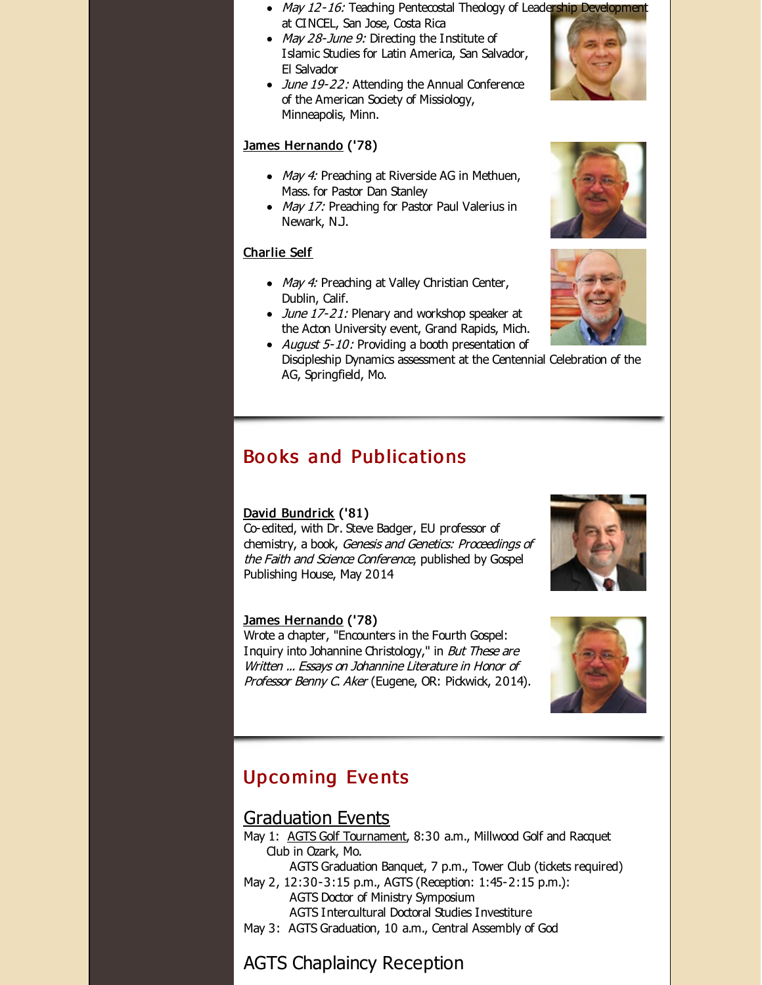- May 12-16: Teaching Pentecostal Theology of Leadership Development at CINCEL, San Jose, Costa Rica
- May 28-June 9: Directing the Institute of Islamic Studies for Latin America, San Salvador, El Salvador
- June 19-22: Attending the Annual Conference of the American Society of Missiology, Minneapolis, Minn.

#### James [Hernando](http://r20.rs6.net/tn.jsp?f=001-bg0MDSIclE6doDGLGc8-K8tWJXjKI6dPVU_hbrs1XCH2WTAyb2HWacqAfSiF4fUT2V0_qfXuQ3ZB3ql_PJgwr9TuWx4_iZsGnSMql2eVjhoEcNNUEOmAZNQvcVQElPQf7udyJFjbVX7IrCP_79Wr4yPfHMOQlYkYQYN2tZIhOAglfZD0GaREdf3cQLyTEaGapsjlBTliIo=&c=&ch=) ('78)

- May 4: Preaching at Riverside AG in Methuen, Mass. for Pastor Dan Stanley
- May 17: Preaching for Pastor Paul Valerius in Newark, N.J.

#### [Charlie](http://r20.rs6.net/tn.jsp?f=001-bg0MDSIclE6doDGLGc8-K8tWJXjKI6dPVU_hbrs1XCH2WTAyb2HWdMwpAmYgI8jjE0mMZLD9TZ7850lcOoSCB8vgr13Jv7uApv2oGCCWM5ZnGn-QJeZyeXzoWWR3vvHfdtMKwTt36tnFixEtQe-4q6VTY5lQ1VAQVy923l9ZRoj6k8ks4aBdOCvyFJnJFOb&c=&ch=) Self

- May 4: Preaching at Valley Christian Center, Dublin, Calif.
- June 17-21: Plenary and workshop speaker at the Acton University event, Grand Rapids, Mich.
- August  $5-10$ : Providing a booth presentation of Discipleship Dynamics assessment at the Centennial Celebration of the AG, Springfield, Mo.

## Books and Publications

#### David [Bundrick](http://r20.rs6.net/tn.jsp?f=001-bg0MDSIclE6doDGLGc8-K8tWJXjKI6dPVU_hbrs1XCH2WTAyb2HWTny5b-ofc9m23d8X5VsZ9Pzc8e-x_0SnlTVcGz2xjz5zDiz44lAQ9BOGq_0_0AmMtDug4l2XD-luawQpilX10hMce8LV5iQdrRPNbRBXt_cXYEQwARuHQZhTcZc_wGlrqueVZcxk1bs4UZErpLPT_4=&c=&ch=) ('81)

Co-edited, with Dr. Steve Badger, EU professor of chemistry, a book, Genesis and Genetics: Proceedings of the Faith and Science Conference, published by Gospel Publishing House, May 2014

#### James [Hernando](http://r20.rs6.net/tn.jsp?f=001-bg0MDSIclE6doDGLGc8-K8tWJXjKI6dPVU_hbrs1XCH2WTAyb2HWacqAfSiF4fUT2V0_qfXuQ3ZB3ql_PJgwr9TuWx4_iZsGnSMql2eVjhoEcNNUEOmAZNQvcVQElPQf7udyJFjbVX7IrCP_79Wr4yPfHMOQlYkYQYN2tZIhOAglfZD0GaREdf3cQLyTEaGapsjlBTliIo=&c=&ch=) ('78)

Wrote a chapter, "Encounters in the Fourth Gospel: Inquiry into Johannine Christology," in But These are Written ... Essays on Johannine Literature in Honor of Professor Benny C. Aker (Eugene, OR: Pickwick, 2014).

# **Upcoming Events**

### [Graduation](http://r20.rs6.net/tn.jsp?f=001-bg0MDSIclE6doDGLGc8-K8tWJXjKI6dPVU_hbrs1XCH2WTAyb2HWcQ48QG_mSGdMxL-tO78T-rL5OLBvgD4BE0c_FAII1WqewfRYP9tdYabyGmK9eYTIIq46qYGCTungH873b942HkoJURG9Oldd3cdQs01XabAyPOaIjk5DFdN6ovl-Mlqad2_8pGweJnxhJ1QOlEL0Rc=&c=&ch=) Events

- May 1: AGTS Golf [Tournament](http://r20.rs6.net/tn.jsp?f=001-bg0MDSIclE6doDGLGc8-K8tWJXjKI6dPVU_hbrs1XCH2WTAyb2HWYkz_pSJcbu4EKsv5buygruQHTOrTXvt7yrdV8KZjO9WnAeKPNsp4LKGxSKhd_8Hen9JMCex6xH7-uZcwbl4RBzxo2nnf_5x9_MM9ibyE4U66c6A0IX1cbClBHZZsmhKZYeL2_w0uuaIfxs5W0q5WZg=&c=&ch=), 8:30 a.m., Millwood Golf and Racquet Club in Ozark, Mo.
	- AGTS Graduation Banquet, 7 p.m., Tower Club (tickets required)
- May 2, 12:30-3:15 p.m., AGTS (Reception: 1:45-2:15 p.m.): AGTS Doctor of Ministry Symposium AGTS Intercultural Doctoral Studies Investiture
- May 3: AGTS Graduation, 10 a.m., Central Assembly of God

# AGTS Chaplaincy Reception